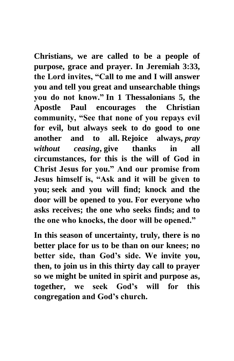**Christians, we are called to be a people of purpose, grace and prayer. In Jeremiah 3:33, the Lord invites, "Call to me and I will answer you and tell you great and unsearchable things you do not know." In 1 Thessalonians 5, the Apostle Paul encourages the Christian community, "See that none of you repays evil for evil, but always seek to do good to one another and to all. Rejoice always,** *pray without ceasing***, give thanks in all circumstances, for this is the will of God in Christ Jesus for you." And our promise from Jesus himself is, "Ask and it will be given to you; seek and you will find; knock and the door will be opened to you. For everyone who asks receives; the one who seeks finds; and to the one who knocks, the door will be opened."**

**In this season of uncertainty, truly, there is no better place for us to be than on our knees; no better side, than God's side. We invite you, then, to join us in this thirty day call to prayer so we might be united in spirit and purpose as, together, we seek God's will for this congregation and God's church.**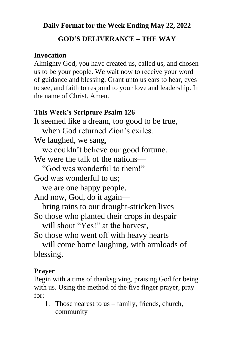#### **Daily Format for the Week Ending May 22, 2022**

## **GOD'S DELIVERANCE – THE WAY**

## **Invocation**

Almighty God, you have created us, called us, and chosen us to be your people. We wait now to receive your word of guidance and blessing. Grant unto us ears to hear, eyes to see, and faith to respond to your love and leadership. In the name of Christ. Amen.

# **This Week's Scripture Psalm 126**

It seemed like a dream, too good to be true, when God returned Zion's exiles. We laughed, we sang, we couldn't believe our good fortune. We were the talk of the nations— "God was wonderful to them!" God was wonderful to us; we are one happy people. And now, God, do it again bring rains to our drought-stricken lives So those who planted their crops in despair will shout "Yes!" at the harvest. So those who went off with heavy hearts will come home laughing, with armloads of blessing.

# **Prayer**

Begin with a time of thanksgiving, praising God for being with us. Using the method of the five finger prayer, pray for:

1. Those nearest to us – family, friends, church, community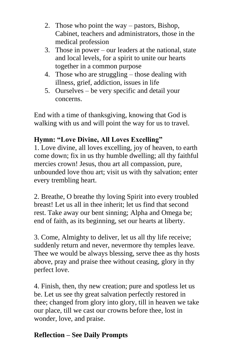- 2. Those who point the way pastors, Bishop, Cabinet, teachers and administrators, those in the medical profession
- 3. Those in power our leaders at the national, state and local levels, for a spirit to unite our hearts together in a common purpose
- 4. Those who are struggling those dealing with illness, grief, addiction, issues in life
- 5. Ourselves be very specific and detail your concerns.

End with a time of thanksgiving, knowing that God is walking with us and will point the way for us to travel.

# **Hymn: "Love Divine, All Loves Excelling"**

1. Love divine, all loves excelling, joy of heaven, to earth come down; fix in us thy humble dwelling; all thy faithful mercies crown! Jesus, thou art all compassion, pure, unbounded love thou art; visit us with thy salvation; enter every trembling heart.

2. Breathe, O breathe thy loving Spirit into every troubled breast! Let us all in thee inherit; let us find that second rest. Take away our bent sinning; Alpha and Omega be; end of faith, as its beginning, set our hearts at liberty.

3. Come, Almighty to deliver, let us all thy life receive; suddenly return and never, nevermore thy temples leave. Thee we would be always blessing, serve thee as thy hosts above, pray and praise thee without ceasing, glory in thy perfect love.

4. Finish, then, thy new creation; pure and spotless let us be. Let us see thy great salvation perfectly restored in thee; changed from glory into glory, till in heaven we take our place, till we cast our crowns before thee, lost in wonder, love, and praise.

# **Reflection – See Daily Prompts**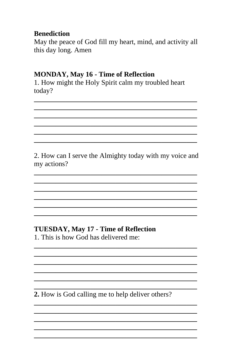## **Benediction**

May the peace of God fill my heart, mind, and activity all this day long. Amen

## **MONDAY, May 16 - Time of Reflection**

1. How might the Holy Spirit calm my troubled heart today?

2. How can I serve the Almighty today with my voice and my actions?

# **TUESDAY, May 17 - Time of Reflection**

1 This is how God has delivered me:

2. How is God calling me to help deliver others?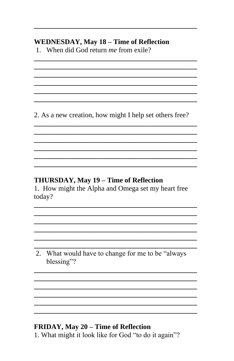### **WEDNESDAY, May 18 - Time of Reflection**

1. When did God return me from exile?

2. As a new creation, how might I help set others free?

## THURSDAY, May 19 – Time of Reflection

1. How might the Alpha and Omega set my heart free today?

2. What would have to change for me to be "always" blessing"?

#### FRIDAY, May 20 - Time of Reflection

1. What might it look like for God "to do it again"?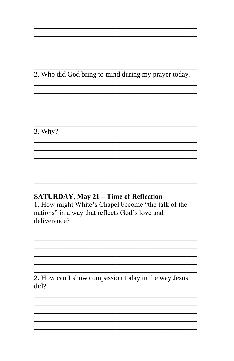2. Who did God bring to mind during my prayer today?

 $3.$  Why?

#### **SATURDAY, May 21 - Time of Reflection**

1. How might White's Chapel become "the talk of the nations" in a way that reflects God's love and deliverance?

2. How can I show compassion today in the way Jesus  $did?$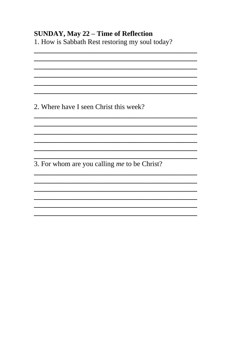## **SUNDAY, May 22 - Time of Reflection**

1. How is Sabbath Rest restoring my soul today?

2. Where have I seen Christ this week?

3. For whom are you calling me to be Christ?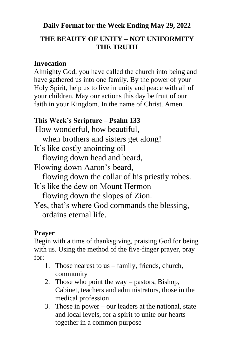# **Daily Format for the Week Ending May 29, 2022**

# **THE BEAUTY OF UNITY – NOT UNIFORMITY THE TRUTH**

#### **Invocation**

Almighty God, you have called the church into being and have gathered us into one family. By the power of your Holy Spirit, help us to live in unity and peace with all of your children. May our actions this day be fruit of our faith in your Kingdom. In the name of Christ. Amen.

# **This Week's Scripture – Psalm 133**

How wonderful, how beautiful,

when brothers and sisters get along!

It's like costly anointing oil

flowing down head and beard,

Flowing down Aaron's beard,

flowing down the collar of his priestly robes.

It's like the dew on Mount Hermon

flowing down the slopes of Zion.

Yes, that's where God commands the blessing, ordains eternal life.

# **Prayer**

Begin with a time of thanksgiving, praising God for being with us. Using the method of the five-finger prayer, pray for:

- 1. Those nearest to us family, friends, church, community
- 2. Those who point the way pastors, Bishop, Cabinet, teachers and administrators, those in the medical profession
- 3. Those in power our leaders at the national, state and local levels, for a spirit to unite our hearts together in a common purpose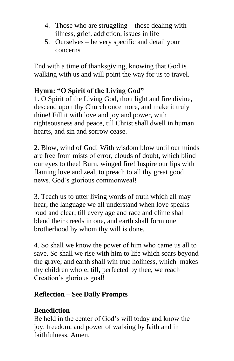- 4. Those who are struggling those dealing with illness, grief, addiction, issues in life
- 5. Ourselves be very specific and detail your concerns

End with a time of thanksgiving, knowing that God is walking with us and will point the way for us to travel.

# **Hymn: "O Spirit of the Living God"**

1. O Spirit of the Living God, thou light and fire divine, descend upon thy Church once more, and make it truly thine! Fill it with love and joy and power, with righteousness and peace, till Christ shall dwell in human hearts, and sin and sorrow cease.

2. Blow, wind of God! With wisdom blow until our minds are free from mists of error, clouds of doubt, which blind our eyes to thee! Burn, winged fire! Inspire our lips with flaming love and zeal, to preach to all thy great good news, God's glorious commonweal!

3. Teach us to utter living words of truth which all may hear, the language we all understand when love speaks loud and clear; till every age and race and clime shall blend their creeds in one, and earth shall form one brotherhood by whom thy will is done.

4. So shall we know the power of him who came us all to save. So shall we rise with him to life which soars beyond the grave; and earth shall win true holiness, which makes thy children whole, till, perfected by thee, we reach Creation's glorious goal!

#### **Reflection – See Daily Prompts**

#### **Benediction**

Be held in the center of God's will today and know the joy, freedom, and power of walking by faith and in faithfulness. Amen.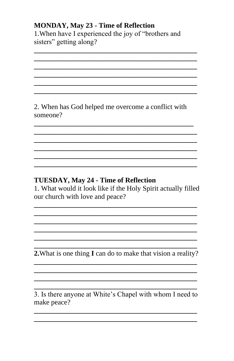### **MONDAY, May 23 - Time of Reflection**

1. When have I experienced the joy of "brothers and sisters" getting along?

2. When has God helped me overcome a conflict with someone?

### **TUESDAY, May 24 - Time of Reflection**

1. What would it look like if the Holy Spirit actually filled our church with love and peace?

2. What is one thing I can do to make that vision a reality?

3. Is there anyone at White's Chapel with whom I need to make peace?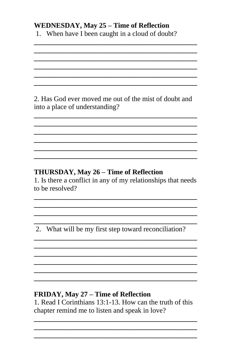### **WEDNESDAY, May 25 - Time of Reflection**

1. When have I been caught in a cloud of doubt?

2. Has God ever moved me out of the mist of doubt and into a place of understanding?

# THURSDAY, May 26 - Time of Reflection

1. Is there a conflict in any of my relationships that needs to be resolved?

2. What will be my first step toward reconciliation?

# FRIDAY, May 27 - Time of Reflection

1. Read I Corinthians 13:1-13. How can the truth of this chapter remind me to listen and speak in love?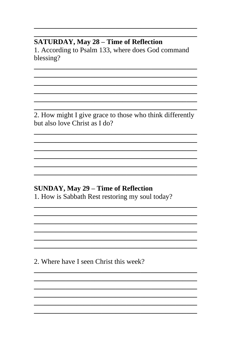## **SATURDAY, May 28 - Time of Reflection**

1. According to Psalm 133, where does God command blessing?

2. How might I give grace to those who think differently but also love Christ as I do?

#### **SUNDAY, May 29 - Time of Reflection**

1. How is Sabbath Rest restoring my soul today?

2. Where have I seen Christ this week?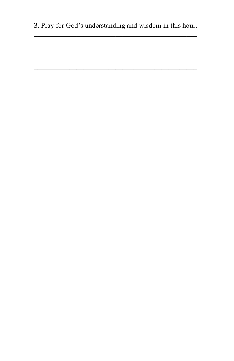3. Pray for God's understanding and wisdom in this hour.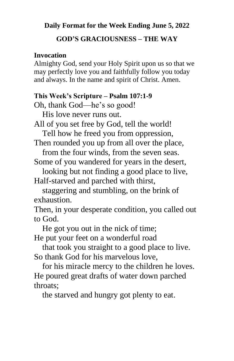#### **Daily Format for the Week Ending June 5, 2022**

### **GOD'S GRACIOUSNESS – THE WAY**

#### **Invocation**

Almighty God, send your Holy Spirit upon us so that we may perfectly love you and faithfully follow you today and always. In the name and spirit of Christ. Amen.

#### **This Week's Scripture – Psalm 107:1-9**

Oh, thank God—he's so good!

His love never runs out.

All of you set free by God, tell the world!

Tell how he freed you from oppression,

Then rounded you up from all over the place, from the four winds, from the seven seas.

Some of you wandered for years in the desert,

 looking but not finding a good place to live, Half-starved and parched with thirst,

 staggering and stumbling, on the brink of exhaustion.

Then, in your desperate condition, you called out to God.

 He got you out in the nick of time; He put your feet on a wonderful road

 that took you straight to a good place to live. So thank God for his marvelous love,

 for his miracle mercy to the children he loves. He poured great drafts of water down parched throats;

the starved and hungry got plenty to eat.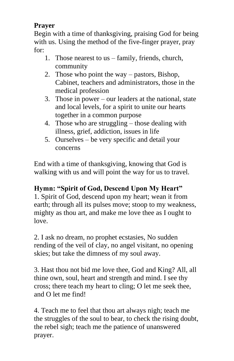# **Prayer**

Begin with a time of thanksgiving, praising God for being with us. Using the method of the five-finger prayer, pray for:

- 1. Those nearest to us family, friends, church, community
- 2. Those who point the way pastors, Bishop, Cabinet, teachers and administrators, those in the medical profession
- 3. Those in power our leaders at the national, state and local levels, for a spirit to unite our hearts together in a common purpose
- 4. Those who are struggling those dealing with illness, grief, addiction, issues in life
- 5. Ourselves be very specific and detail your concerns

End with a time of thanksgiving, knowing that God is walking with us and will point the way for us to travel.

# **Hymn: "Spirit of God, Descend Upon My Heart"**

1. Spirit of God, descend upon my heart; wean it from earth; through all its pulses move; stoop to my weakness, mighty as thou art, and make me love thee as I ought to love.

2. I ask no dream, no prophet ecstasies, No sudden rending of the veil of clay, no angel visitant, no opening skies; but take the dimness of my soul away.

3. Hast thou not bid me love thee, God and King? All, all thine own, soul, heart and strength and mind. I see thy cross; there teach my heart to cling; O let me seek thee, and O let me find!

4. Teach me to feel that thou art always nigh; teach me the struggles of the soul to bear, to check the rising doubt, the rebel sigh; teach me the patience of unanswered prayer.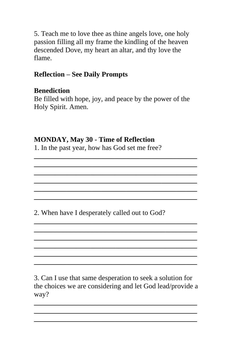5. Teach me to love thee as thine angels love, one holy passion filling all my frame the kindling of the heaven descended Dove, my heart an altar, and thy love the flame.

# **Reflection – See Daily Prompts**

# **Benediction**

Be filled with hope, joy, and peace by the power of the Holy Spirit. Amen.

**\_\_\_\_\_\_\_\_\_\_\_\_\_\_\_\_\_\_\_\_\_\_\_\_\_\_\_\_\_\_\_\_\_\_\_\_\_\_\_\_\_\_\_\_\_\_ \_\_\_\_\_\_\_\_\_\_\_\_\_\_\_\_\_\_\_\_\_\_\_\_\_\_\_\_\_\_\_\_\_\_\_\_\_\_\_\_\_\_\_\_\_\_ \_\_\_\_\_\_\_\_\_\_\_\_\_\_\_\_\_\_\_\_\_\_\_\_\_\_\_\_\_\_\_\_\_\_\_\_\_\_\_\_\_\_\_\_\_\_ \_\_\_\_\_\_\_\_\_\_\_\_\_\_\_\_\_\_\_\_\_\_\_\_\_\_\_\_\_\_\_\_\_\_\_\_\_\_\_\_\_\_\_\_\_\_ \_\_\_\_\_\_\_\_\_\_\_\_\_\_\_\_\_\_\_\_\_\_\_\_\_\_\_\_\_\_\_\_\_\_\_\_\_\_\_\_\_\_\_\_\_\_ \_\_\_\_\_\_\_\_\_\_\_\_\_\_\_\_\_\_\_\_\_\_\_\_\_\_\_\_\_\_\_\_\_\_\_\_\_\_\_\_\_\_\_\_\_\_**

**\_\_\_\_\_\_\_\_\_\_\_\_\_\_\_\_\_\_\_\_\_\_\_\_\_\_\_\_\_\_\_\_\_\_\_\_\_\_\_\_\_\_\_\_\_\_ \_\_\_\_\_\_\_\_\_\_\_\_\_\_\_\_\_\_\_\_\_\_\_\_\_\_\_\_\_\_\_\_\_\_\_\_\_\_\_\_\_\_\_\_\_\_ \_\_\_\_\_\_\_\_\_\_\_\_\_\_\_\_\_\_\_\_\_\_\_\_\_\_\_\_\_\_\_\_\_\_\_\_\_\_\_\_\_\_\_\_\_\_ \_\_\_\_\_\_\_\_\_\_\_\_\_\_\_\_\_\_\_\_\_\_\_\_\_\_\_\_\_\_\_\_\_\_\_\_\_\_\_\_\_\_\_\_\_\_ \_\_\_\_\_\_\_\_\_\_\_\_\_\_\_\_\_\_\_\_\_\_\_\_\_\_\_\_\_\_\_\_\_\_\_\_\_\_\_\_\_\_\_\_\_\_ \_\_\_\_\_\_\_\_\_\_\_\_\_\_\_\_\_\_\_\_\_\_\_\_\_\_\_\_\_\_\_\_\_\_\_\_\_\_\_\_\_\_\_\_\_\_**

## **MONDAY, May 30 - Time of Reflection**

1. In the past year, how has God set me free?

2. When have I desperately called out to God?

3. Can I use that same desperation to seek a solution for the choices we are considering and let God lead/provide a way?

**\_\_\_\_\_\_\_\_\_\_\_\_\_\_\_\_\_\_\_\_\_\_\_\_\_\_\_\_\_\_\_\_\_\_\_\_\_\_\_\_\_\_\_\_\_\_ \_\_\_\_\_\_\_\_\_\_\_\_\_\_\_\_\_\_\_\_\_\_\_\_\_\_\_\_\_\_\_\_\_\_\_\_\_\_\_\_\_\_\_\_\_\_ \_\_\_\_\_\_\_\_\_\_\_\_\_\_\_\_\_\_\_\_\_\_\_\_\_\_\_\_\_\_\_\_\_\_\_\_\_\_\_\_\_\_\_\_\_\_**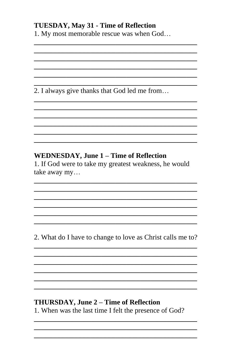## **TUESDAY, May 31 - Time of Reflection**

1. My most memorable rescue was when God...

2. I always give thanks that God led me from...

# **WEDNESDAY, June 1 - Time of Reflection**

1. If God were to take my greatest weakness, he would take away my...

2. What do I have to change to love as Christ calls me to?

# THURSDAY, June 2 – Time of Reflection

1. When was the last time I felt the presence of God?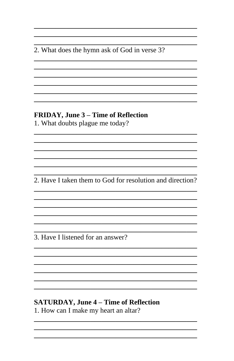2. What does the hymn ask of God in verse 3?

# FRIDAY, June 3 - Time of Reflection

1. What doubts plague me today?

2. Have I taken them to God for resolution and direction?

3. Have I listened for an answer?

## **SATURDAY, June 4 - Time of Reflection**

1. How can I make my heart an altar?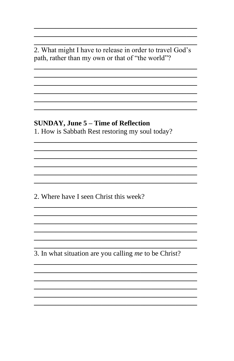2. What might I have to release in order to travel God's path, rather than my own or that of "the world"?

#### **SUNDAY, June 5 – Time of Reflection**

1. How is Sabbath Rest restoring my soul today?

2. Where have I seen Christ this week?

3. In what situation are you calling me to be Christ?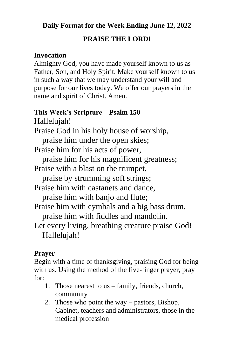**Daily Format for the Week Ending June 12, 2022**

#### **PRAISE THE LORD!**

#### **Invocation**

Almighty God, you have made yourself known to us as Father, Son, and Holy Spirit. Make yourself known to us in such a way that we may understand your will and purpose for our lives today. We offer our prayers in the name and spirit of Christ. Amen.

### **This Week's Scripture – Psalm 150** Hallelujah!

Praise God in his holy house of worship, praise him under the open skies;

Praise him for his acts of power,

praise him for his magnificent greatness;

Praise with a blast on the trumpet,

praise by strumming soft strings;

Praise him with castanets and dance, praise him with banjo and flute;

Praise him with cymbals and a big bass drum, praise him with fiddles and mandolin.

Let every living, breathing creature praise God! Hallelujah!

# **Prayer**

Begin with a time of thanksgiving, praising God for being with us. Using the method of the five-finger prayer, pray for:

- 1. Those nearest to us family, friends, church, community
- 2. Those who point the way pastors, Bishop, Cabinet, teachers and administrators, those in the medical profession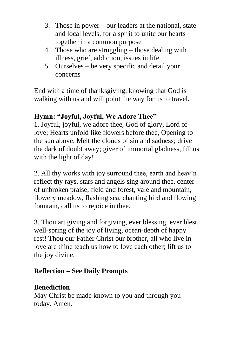- 3. Those in power our leaders at the national, state and local levels, for a spirit to unite our hearts together in a common purpose
- 4. Those who are struggling those dealing with illness, grief, addiction, issues in life
- 5. Ourselves be very specific and detail your concerns

End with a time of thanksgiving, knowing that God is walking with us and will point the way for us to travel.

## **Hymn: "Joyful, Joyful, We Adore Thee"**

1. Joyful, joyful, we adore thee, God of glory, Lord of love; Hearts unfold like flowers before thee, Opening to the sun above. Melt the clouds of sin and sadness; drive the dark of doubt away; giver of immortal gladness, fill us with the light of day!

2. All thy works with joy surround thee, earth and heav'n reflect thy rays, stars and angels sing around thee, center of unbroken praise; field and forest, vale and mountain, flowery meadow, flashing sea, chanting bird and flowing fountain, call us to rejoice in thee.

3. Thou art giving and forgiving, ever blessing, ever blest, well-spring of the joy of living, ocean-depth of happy rest! Thou our Father Christ our brother, all who live in love are thine teach us how to love each other; lift us to the joy divine.

# **Reflection – See Daily Prompts**

#### **Benediction**

May Christ be made known to you and through you today. Amen.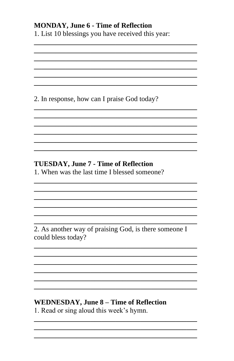## **MONDAY, June 6 - Time of Reflection**

1. List 10 blessings you have received this year:

# 2. In response, how can I praise God today?

# **TUESDAY, June 7 - Time of Reflection**

1. When was the last time I blessed someone?

2. As another way of praising God, is there someone I could bless today?

# **WEDNESDAY, June 8 - Time of Reflection**

1. Read or sing aloud this week's hymn.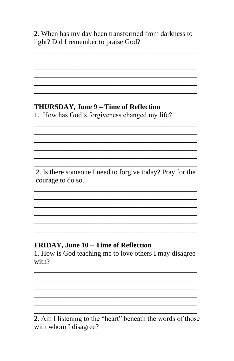2. When has my day been transformed from darkness to light? Did I remember to praise God?

# THURSDAY, June 9 - Time of Reflection

1. How has God's forgiveness changed my life?

2. Is there someone I need to forgive today? Pray for the courage to do so.

# FRIDAY, June 10 - Time of Reflection

1. How is God teaching me to love others I may disagree with?

2. Am I listening to the "heart" beneath the words of those with whom I disagree?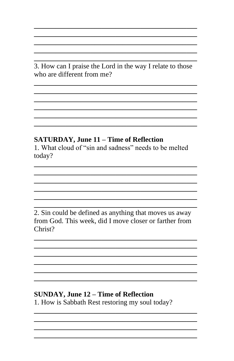3. How can I praise the Lord in the way I relate to those who are different from me?

## **SATURDAY, June 11 - Time of Reflection**

1. What cloud of "sin and sadness" needs to be melted today?

2. Sin could be defined as anything that moves us away from God. This week, did I move closer or farther from Christ?

# **SUNDAY, June 12 - Time of Reflection**

1. How is Sabbath Rest restoring my soul today?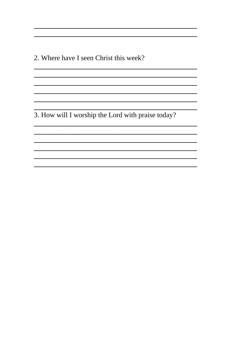2. Where have I seen Christ this week?

3. How will I worship the Lord with praise today?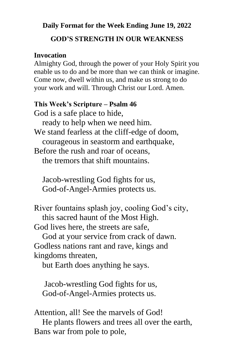#### **Daily Format for the Week Ending June 19, 2022**

#### **GOD'S STRENGTH IN OUR WEAKNESS**

#### **Invocation**

Almighty God, through the power of your Holy Spirit you enable us to do and be more than we can think or imagine. Come now, dwell within us, and make us strong to do your work and will. Through Christ our Lord. Amen.

#### **This Week's Scripture – Psalm 46**

God is a safe place to hide,

ready to help when we need him.

We stand fearless at the cliff-edge of doom, courageous in seastorm and earthquake,

Before the rush and roar of oceans, the tremors that shift mountains.

 Jacob-wrestling God fights for us, God-of-Angel-Armies protects us.

River fountains splash joy, cooling God's city, this sacred haunt of the Most High.

God lives here, the streets are safe,

 God at your service from crack of dawn. Godless nations rant and rave, kings and kingdoms threaten,

but Earth does anything he says.

 Jacob-wrestling God fights for us, God-of-Angel-Armies protects us.

Attention, all! See the marvels of God!

 He plants flowers and trees all over the earth, Bans war from pole to pole,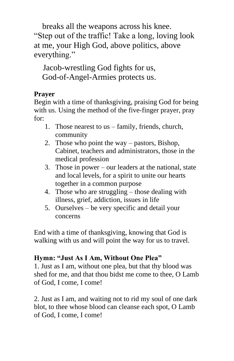breaks all the weapons across his knee. "Step out of the traffic! Take a long, loving look at me, your High God, above politics, above everything."

 Jacob-wrestling God fights for us, God-of-Angel-Armies protects us.

# **Prayer**

Begin with a time of thanksgiving, praising God for being with us. Using the method of the five-finger prayer, pray for:

- 1. Those nearest to us family, friends, church, community
- 2. Those who point the way pastors, Bishop, Cabinet, teachers and administrators, those in the medical profession
- 3. Those in power our leaders at the national, state and local levels, for a spirit to unite our hearts together in a common purpose
- 4. Those who are struggling those dealing with illness, grief, addiction, issues in life
- 5. Ourselves be very specific and detail your concerns

End with a time of thanksgiving, knowing that God is walking with us and will point the way for us to travel.

# **Hymn: "Just As I Am, Without One Plea"**

1. Just as I am, without one plea, but that thy blood was shed for me, and that thou bidst me come to thee, O Lamb of God, I come, I come!

2. Just as I am, and waiting not to rid my soul of one dark blot, to thee whose blood can cleanse each spot, O Lamb of God, I come, I come!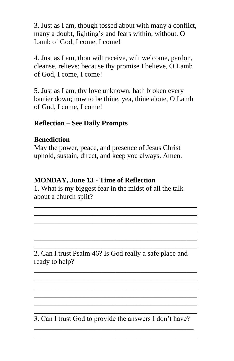3. Just as I am, though tossed about with many a conflict, many a doubt, fighting's and fears within, without, O Lamb of God, I come, I come!

4. Just as I am, thou wilt receive, wilt welcome, pardon, cleanse, relieve; because thy promise I believe, O Lamb of God, I come, I come!

5. Just as I am, thy love unknown, hath broken every barrier down; now to be thine, yea, thine alone, O Lamb of God, I come, I come!

#### **Reflection – See Daily Prompts**

#### **Benediction**

May the power, peace, and presence of Jesus Christ uphold, sustain, direct, and keep you always. Amen.

#### **MONDAY, June 13 - Time of Reflection**

1. What is my biggest fear in the midst of all the talk about a church split?

**\_\_\_\_\_\_\_\_\_\_\_\_\_\_\_\_\_\_\_\_\_\_\_\_\_\_\_\_\_\_\_\_\_\_\_\_\_\_\_\_\_\_\_\_\_\_ \_\_\_\_\_\_\_\_\_\_\_\_\_\_\_\_\_\_\_\_\_\_\_\_\_\_\_\_\_\_\_\_\_\_\_\_\_\_\_\_\_\_\_\_\_\_ \_\_\_\_\_\_\_\_\_\_\_\_\_\_\_\_\_\_\_\_\_\_\_\_\_\_\_\_\_\_\_\_\_\_\_\_\_\_\_\_\_\_\_\_\_\_ \_\_\_\_\_\_\_\_\_\_\_\_\_\_\_\_\_\_\_\_\_\_\_\_\_\_\_\_\_\_\_\_\_\_\_\_\_\_\_\_\_\_\_\_\_\_ \_\_\_\_\_\_\_\_\_\_\_\_\_\_\_\_\_\_\_\_\_\_\_\_\_\_\_\_\_\_\_\_\_\_\_\_\_\_\_\_\_\_\_\_\_\_ \_\_\_\_\_\_\_\_\_\_\_\_\_\_\_\_\_\_\_\_\_\_\_\_\_\_\_\_\_\_\_\_\_\_\_\_\_\_\_\_\_\_\_\_\_\_**

2. Can I trust Psalm 46? Is God really a safe place and ready to help?

**\_\_\_\_\_\_\_\_\_\_\_\_\_\_\_\_\_\_\_\_\_\_\_\_\_\_\_\_\_\_\_\_\_\_\_\_\_\_\_\_\_\_\_\_\_\_ \_\_\_\_\_\_\_\_\_\_\_\_\_\_\_\_\_\_\_\_\_\_\_\_\_\_\_\_\_\_\_\_\_\_\_\_\_\_\_\_\_\_\_\_\_\_ \_\_\_\_\_\_\_\_\_\_\_\_\_\_\_\_\_\_\_\_\_\_\_\_\_\_\_\_\_\_\_\_\_\_\_\_\_\_\_\_\_\_\_\_\_\_ \_\_\_\_\_\_\_\_\_\_\_\_\_\_\_\_\_\_\_\_\_\_\_\_\_\_\_\_\_\_\_\_\_\_\_\_\_\_\_\_\_\_\_\_\_\_ \_\_\_\_\_\_\_\_\_\_\_\_\_\_\_\_\_\_\_\_\_\_\_\_\_\_\_\_\_\_\_\_\_\_\_\_\_\_\_\_\_\_\_\_\_\_**

**\_\_\_\_\_\_\_\_\_\_\_\_\_\_\_\_\_\_\_\_\_\_\_\_\_\_\_\_\_\_\_\_\_\_\_\_\_\_\_\_\_\_\_\_\_\_** 3. Can I trust God to provide the answers I don't have? **\_\_\_\_\_\_\_\_\_\_\_\_\_\_\_\_\_\_\_\_\_\_\_\_\_\_\_\_\_\_\_\_\_\_\_\_\_\_\_\_\_\_\_\_\_**

**\_\_\_\_\_\_\_\_\_\_\_\_\_\_\_\_\_\_\_\_\_\_\_\_\_\_\_\_\_\_\_\_\_\_\_\_\_\_\_\_\_\_\_\_\_\_**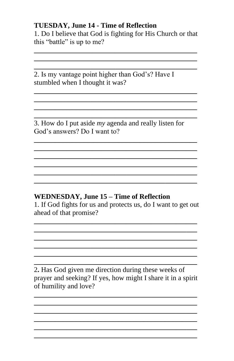#### **TUESDAY, June 14 - Time of Reflection**

1. Do I believe that God is fighting for His Church or that this "battle" is up to me?

2. Is my vantage point higher than God's? Have I stumbled when I thought it was?

3. How do I put aside  $my$  agenda and really listen for God's answers? Do I want to?

# **WEDNESDAY, June 15 - Time of Reflection**

1. If God fights for us and protects us, do I want to get out ahead of that promise?

2. Has God given me direction during these weeks of prayer and seeking? If yes, how might I share it in a spirit of humility and love?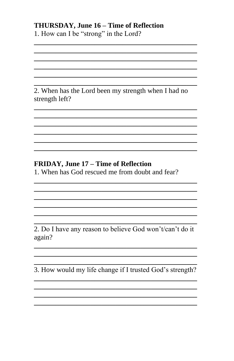# THURSDAY, June 16 - Time of Reflection

1. How can I be "strong" in the Lord?

2. When has the Lord been my strength when I had no strength left?

# FRIDAY, June 17 - Time of Reflection

1. When has God rescued me from doubt and fear?

2. Do I have any reason to believe God won't/can't do it again?

3. How would my life change if I trusted God's strength?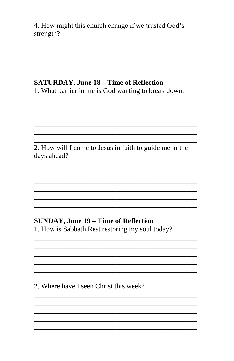4. How might this church change if we trusted God's strength?

# **SATURDAY, June 18 - Time of Reflection**

1. What barrier in me is God wanting to break down.

2. How will I come to Jesus in faith to guide me in the days ahead?

# **SUNDAY, June 19 - Time of Reflection**

1. How is Sabbath Rest restoring my soul today?

2. Where have I seen Christ this week?